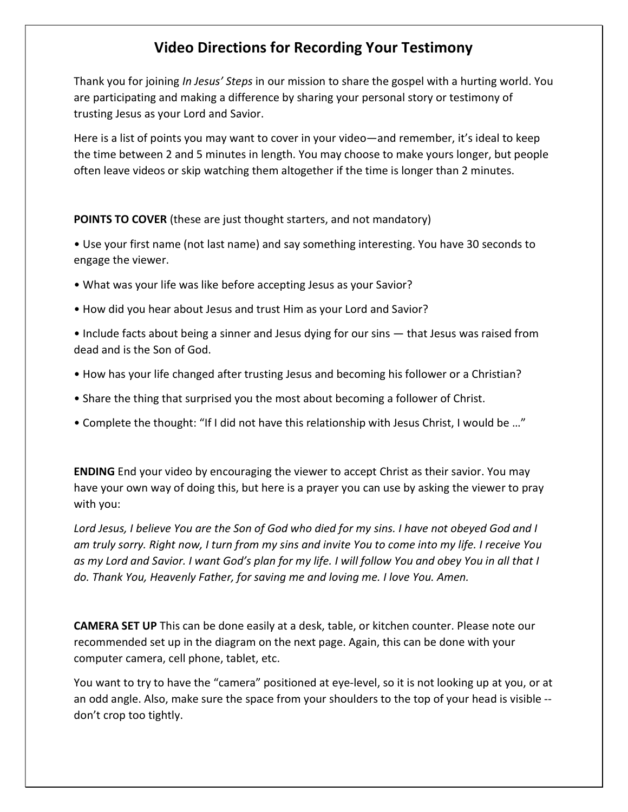## Video Directions for Recording Your Testimony

Thank you for joining In Jesus' Steps in our mission to share the gospel with a hurting world. You are participating and making a difference by sharing your personal story or testimony of trusting Jesus as your Lord and Savior.

Here is a list of points you may want to cover in your video—and remember, it's ideal to keep the time between 2 and 5 minutes in length. You may choose to make yours longer, but people often leave videos or skip watching them altogether if the time is longer than 2 minutes.

POINTS TO COVER (these are just thought starters, and not mandatory)

• Use your first name (not last name) and say something interesting. You have 30 seconds to engage the viewer.

• What was your life was like before accepting Jesus as your Savior?

• How did you hear about Jesus and trust Him as your Lord and Savior?

• Include facts about being a sinner and Jesus dying for our sins — that Jesus was raised from dead and is the Son of God.

- How has your life changed after trusting Jesus and becoming his follower or a Christian?
- Share the thing that surprised you the most about becoming a follower of Christ.
- Complete the thought: "If I did not have this relationship with Jesus Christ, I would be …"

ENDING End your video by encouraging the viewer to accept Christ as their savior. You may have your own way of doing this, but here is a prayer you can use by asking the viewer to pray with you:

Lord Jesus, I believe You are the Son of God who died for my sins. I have not obeyed God and I am truly sorry. Right now, I turn from my sins and invite You to come into my life. I receive You as my Lord and Savior. I want God's plan for my life. I will follow You and obey You in all that I do. Thank You, Heavenly Father, for saving me and loving me. I love You. Amen.

CAMERA SET UP This can be done easily at a desk, table, or kitchen counter. Please note our recommended set up in the diagram on the next page. Again, this can be done with your computer camera, cell phone, tablet, etc.

You want to try to have the "camera" positioned at eye-level, so it is not looking up at you, or at an odd angle. Also, make sure the space from your shoulders to the top of your head is visible - don't crop too tightly.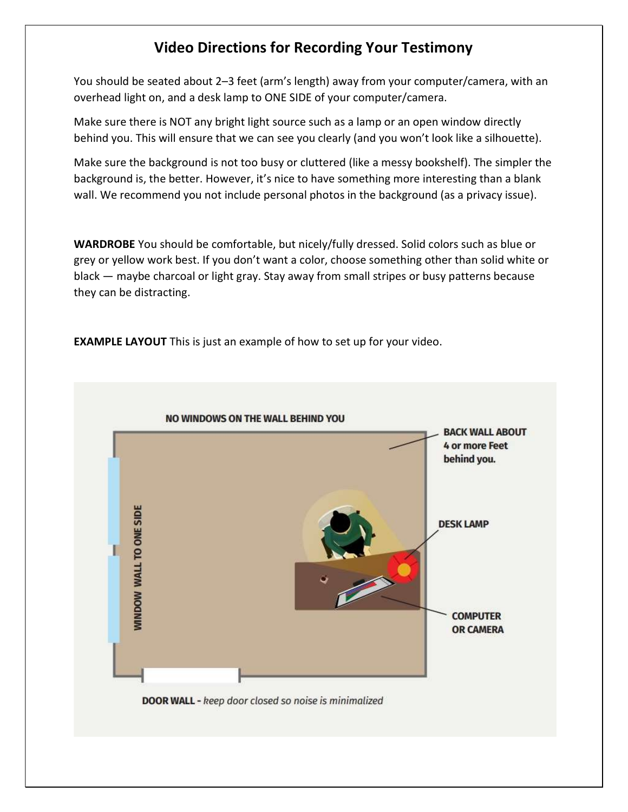## Video Directions for Recording Your Testimony

You should be seated about 2–3 feet (arm's length) away from your computer/camera, with an overhead light on, and a desk lamp to ONE SIDE of your computer/camera.

Make sure there is NOT any bright light source such as a lamp or an open window directly behind you. This will ensure that we can see you clearly (and you won't look like a silhouette).

Make sure the background is not too busy or cluttered (like a messy bookshelf). The simpler the background is, the better. However, it's nice to have something more interesting than a blank wall. We recommend you not include personal photos in the background (as a privacy issue).

WARDROBE You should be comfortable, but nicely/fully dressed. Solid colors such as blue or grey or yellow work best. If you don't want a color, choose something other than solid white or black — maybe charcoal or light gray. Stay away from small stripes or busy patterns because they can be distracting.

EXAMPLE LAYOUT This is just an example of how to set up for your video.